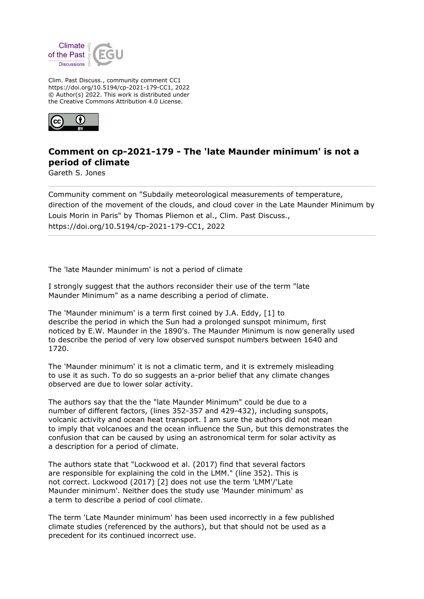

Clim. Past Discuss., community comment CC1 https://doi.org/10.5194/cp-2021-179-CC1, 2022 © Author(s) 2022. This work is distributed under the Creative Commons Attribution 4.0 License.



## **Comment on cp-2021-179 - The 'late Maunder minimum' is not a period of climate**

Gareth S. Jones

Community comment on "Subdaily meteorological measurements of temperature, direction of the movement of the clouds, and cloud cover in the Late Maunder Minimum by Louis Morin in Paris" by Thomas Pliemon et al., Clim. Past Discuss., https://doi.org/10.5194/cp-2021-179-CC1, 2022

The 'late Maunder minimum' is not a period of climate

I strongly suggest that the authors reconsider their use of the term "late Maunder Minimum" as a name describing a period of climate.

The 'Maunder minimum' is a term first coined by J.A. Eddy, [1] to describe the period in which the Sun had a prolonged sunspot minimum, first noticed by E.W. Maunder in the 1890's. The Maunder Minimum is now generally used to describe the period of very low observed sunspot numbers between 1640 and 1720.

The 'Maunder minimum' it is not a climatic term, and it is extremely misleading to use it as such. To do so suggests an a-prior belief that any climate changes observed are due to lower solar activity.

The authors say that the the "late Maunder Minimum" could be due to a number of different factors, (lines 352-357 and 429-432), including sunspots, volcanic activity and ocean heat transport. I am sure the authors did not mean to imply that volcanoes and the ocean influence the Sun, but this demonstrates the confusion that can be caused by using an astronomical term for solar activity as a description for a period of climate.

The authors state that "Lockwood et al. (2017) find that several factors are responsible for explaining the cold in the LMM." (line 352). This is not correct. Lockwood (2017) [2] does not use the term 'LMM'/'Late Maunder minimum'. Neither does the study use 'Maunder minimum' as a term to describe a period of cool climate.

The term 'Late Maunder minimum' has been used incorrectly in a few published climate studies (referenced by the authors), but that should not be used as a precedent for its continued incorrect use.